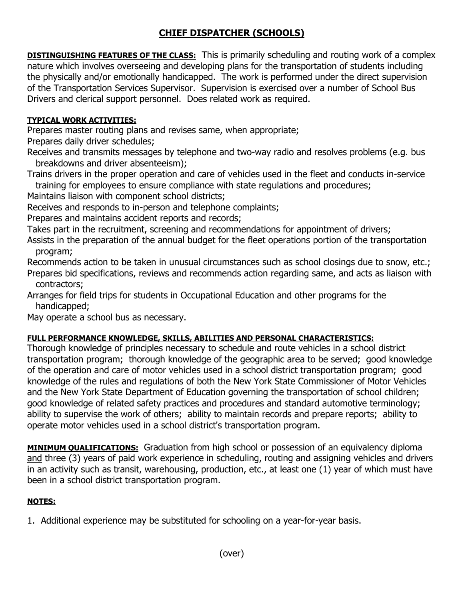## **CHIEF DISPATCHER (SCHOOLS)**

**DISTINGUISHING FEATURES OF THE CLASS:** This is primarily scheduling and routing work of a complex nature which involves overseeing and developing plans for the transportation of students including the physically and/or emotionally handicapped. The work is performed under the direct supervision of the Transportation Services Supervisor. Supervision is exercised over a number of School Bus Drivers and clerical support personnel. Does related work as required.

## **TYPICAL WORK ACTIVITIES:**

Prepares master routing plans and revises same, when appropriate;

Prepares daily driver schedules;

Receives and transmits messages by telephone and two-way radio and resolves problems (e.g. bus breakdowns and driver absenteeism);

Trains drivers in the proper operation and care of vehicles used in the fleet and conducts in-service training for employees to ensure compliance with state regulations and procedures;

Maintains liaison with component school districts;

Receives and responds to in-person and telephone complaints;

Prepares and maintains accident reports and records;

Takes part in the recruitment, screening and recommendations for appointment of drivers;

Assists in the preparation of the annual budget for the fleet operations portion of the transportation program;

Recommends action to be taken in unusual circumstances such as school closings due to snow, etc.;

Prepares bid specifications, reviews and recommends action regarding same, and acts as liaison with contractors;

Arranges for field trips for students in Occupational Education and other programs for the handicapped;

May operate a school bus as necessary.

## **FULL PERFORMANCE KNOWLEDGE, SKILLS, ABILITIES AND PERSONAL CHARACTERISTICS:**

Thorough knowledge of principles necessary to schedule and route vehicles in a school district transportation program; thorough knowledge of the geographic area to be served; good knowledge of the operation and care of motor vehicles used in a school district transportation program; good knowledge of the rules and regulations of both the New York State Commissioner of Motor Vehicles and the New York State Department of Education governing the transportation of school children; good knowledge of related safety practices and procedures and standard automotive terminology; ability to supervise the work of others; ability to maintain records and prepare reports; ability to operate motor vehicles used in a school district's transportation program.

**MINIMUM QUALIFICATIONS:** Graduation from high school or possession of an equivalency diploma and three (3) years of paid work experience in scheduling, routing and assigning vehicles and drivers in an activity such as transit, warehousing, production, etc., at least one (1) year of which must have been in a school district transportation program.

## **NOTES:**

1. Additional experience may be substituted for schooling on a year-for-year basis.